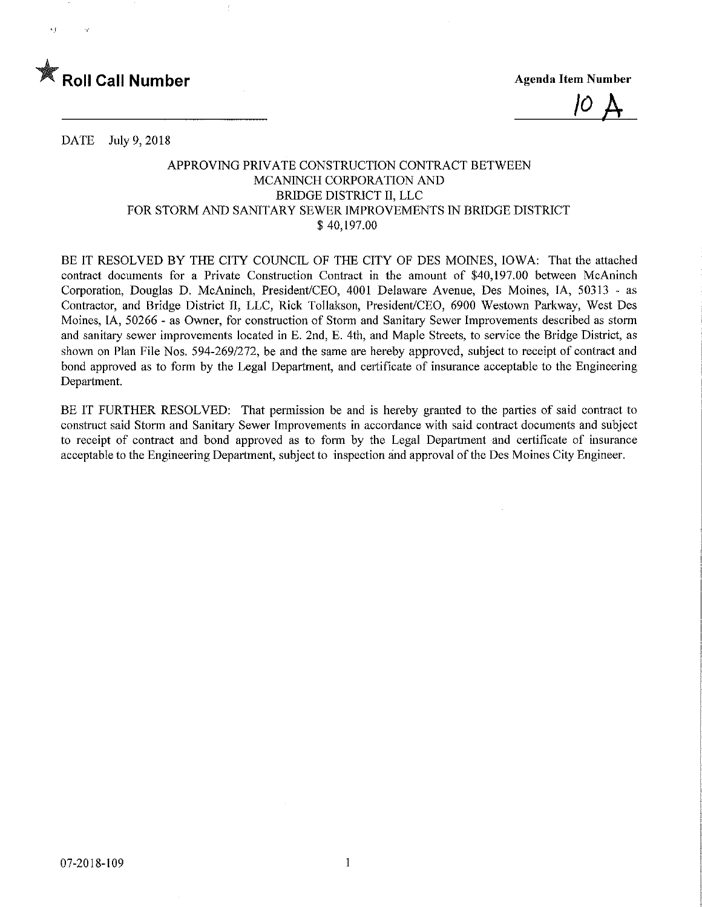

10  $\bm{\mathsf{A}}$ 

DATE July 9, 2018

## APPROVING PRIVATE CONSTRUCTION CONTRACT BETWEEN MCANINCH CORPORATION AND BRIDGE DISTRICT II, LLC FOR STORM AND SANITARY SEWER IMPROVEMENTS IN BRIDGE DISTRICT \$40,197.00

BE IT RESOLVED BY THE CITY COUNCIL OF THE CITY OF DES MOINES, IOWA: That the attached contract documents for a Private Construction Contract in the amount of \$40,197.00 between McAninch Corporation, Douglas D. McAninch, President/CEO, 4001 Delaware Avenue, Des Moines, IA, 50313 - as Contractor, and Bridge District II, LLC, Rick Tollakson, President/CEO, 6900 Westown Parkway, West Des Moines, IA, 50266 - as Owner, for construction of Storm and Sanitary Sewer Improvements described as storm and sanitary sewer improvements located in E. 2nd, E. 4th, and Maple Streets, to service the Bridge District, as shown on Plan File Nos. 594-269/272, be and the same are hereby approved, subject to receipt of contract and bond approved as to form by the Legal Department, and certificate of insurance acceptable to the Engineering Department.

BE IT FURTHER RESOLVED: That permission be and is hereby granted to the parties of said contract to construct said Storm and Sanitary Sewer Improvements in accordance with said contract documents and subject to receipt of contract and bond approved as to form by the Legal Department and certificate of insurance acceptable to the Engineering Department, subject to inspection and approval of the Des Moines City Engineer.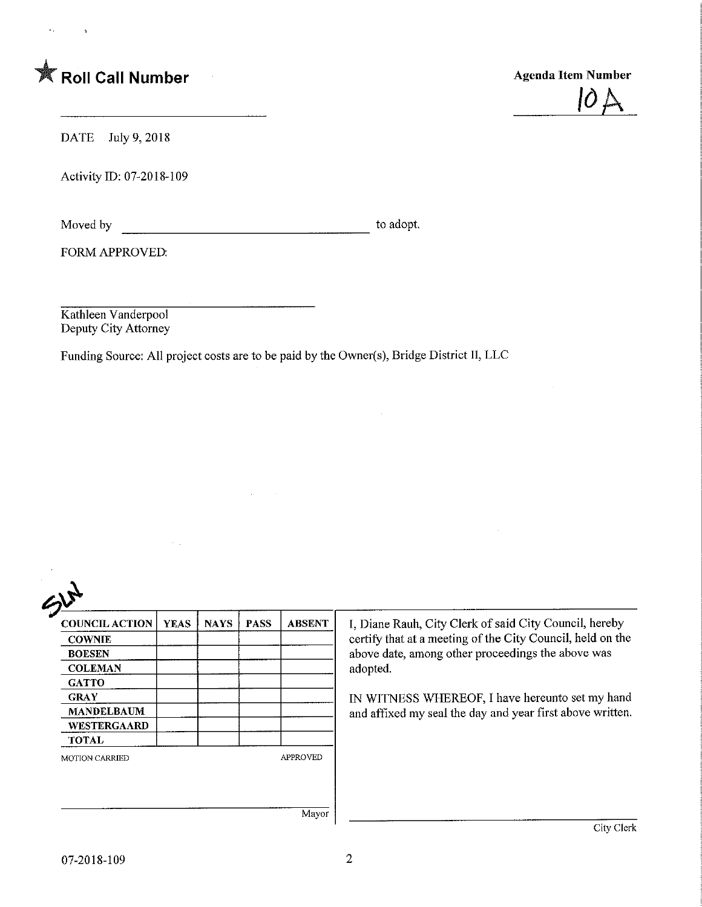

 $\overline{a}$ 

 $\bar{\mathbf{q}}$ 



DATE July 9, 2018

Activity ID: 07-2018-109

Moved by to adopt.

FORM APPROVED:

Kathleen Vanderpool Deputy City Attorney

Funding Source: All project costs are to be paid by the Owner(s), Bridge District II, LLC

 $\sim$  $\sim$   $\sim$ 

 $\sim$   $\pm$ 

| <b>COUNCIL ACTION</b> | <b>YEAS</b> | <b>NAYS</b> | <b>PASS</b> | <b>ABSENT</b>   | I, Diane Rauh, City Clerk of said City Council, hereby                                                       |
|-----------------------|-------------|-------------|-------------|-----------------|--------------------------------------------------------------------------------------------------------------|
| <b>COWNIE</b>         |             |             |             |                 | certify that at a meeting of the City Council, held on the                                                   |
| <b>BOESEN</b>         |             |             |             |                 | above date, among other proceedings the above was                                                            |
| <b>COLEMAN</b>        |             |             |             |                 | adopted.                                                                                                     |
| <b>GATTO</b>          |             |             |             |                 |                                                                                                              |
| <b>GRAY</b>           |             |             |             |                 | IN WITNESS WHEREOF, I have hereunto set my hand<br>and affixed my seal the day and year first above written. |
| <b>MANDELBAUM</b>     |             |             |             |                 |                                                                                                              |
| <b>WESTERGAARD</b>    |             |             |             |                 |                                                                                                              |
| <b>TOTAL</b>          |             |             |             |                 |                                                                                                              |
| <b>MOTION CARRIED</b> |             |             |             | <b>APPROVED</b> |                                                                                                              |
|                       |             |             |             |                 |                                                                                                              |
|                       |             |             |             |                 |                                                                                                              |
|                       |             |             |             |                 |                                                                                                              |
|                       |             |             |             | Mayor           |                                                                                                              |